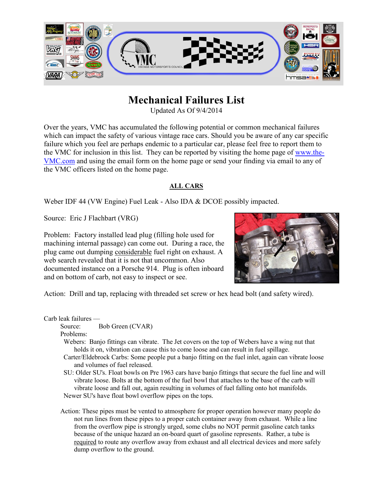

# **Mechanical Failures List**

Updated As Of 9/4/2014

Over the years, VMC has accumulated the following potential or common mechanical failures which can impact the safety of various vintage race cars. Should you be aware of any car specific failure which you feel are perhaps endemic to a particular car, please feel free to report them to the VMC for inclusion in this list. They can be reported by visiting the home page of [www.the-](http://www.the-vmc.com/)[VMC.com](http://www.the-vmc.com/) and using the email form on the home page or send your finding via email to any of the VMC officers listed on the home page.

### **ALL CARS**

Weber IDF 44 (VW Engine) Fuel Leak - Also IDA & DCOE possibly impacted.

Source: Eric J Flachbart (VRG)

Problem: Factory installed lead plug (filling hole used for machining internal passage) can come out. During a race, the plug came out dumping considerable fuel right on exhaust. A web search revealed that it is not that uncommon. Also documented instance on a Porsche 914. Plug is often inboard and on bottom of carb, not easy to inspect or see.



Action: Drill and tap, replacing with threaded set screw or hex head bolt (and safety wired).

Carb leak failures —

Source: Bob Green (CVAR)

Problems:

 Webers: Banjo fittings can vibrate. The Jet covers on the top of Webers have a wing nut that holds it on, vibration can cause this to come loose and can result in fuel spillage.

 Carter/Eldebrock Carbs: Some people put a banjo fitting on the fuel inlet, again can vibrate loose and volumes of fuel released.

 SU: Older SU's. Float bowls on Pre 1963 cars have banjo fittings that secure the fuel line and will vibrate loose. Bolts at the bottom of the fuel bowl that attaches to the base of the carb will vibrate loose and fall out, again resulting in volumes of fuel falling onto hot manifolds. Newer SU's have float bowl overflow pipes on the tops.

Action: These pipes must be vented to atmosphere for proper operation however many people do not run lines from these pipes to a proper catch container away from exhaust. While a line from the overflow pipe is strongly urged, some clubs no NOT permit gasoline catch tanks because of the unique hazard an on-board quart of gasoline represents. Rather, a tube is required to route any overflow away from exhaust and all electrical devices and more safely dump overflow to the ground.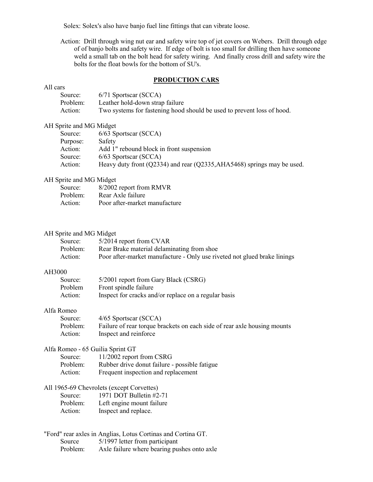Solex: Solex's also have banjo fuel line fittings that can vibrate loose.

Action: Drill through wing nut ear and safety wire top of jet covers on Webers. Drill through edge of of banjo bolts and safety wire. If edge of bolt is too small for drilling then have someone weld a small tab on the bolt head for safety wiring. And finally cross drill and safety wire the bolts for the float bowls for the bottom of SU's.

#### **PRODUCTION CARS**

#### All cars

| Source:  | 6/71 Sportscar (SCCA)                                                  |
|----------|------------------------------------------------------------------------|
| Problem: | Leather hold-down strap failure                                        |
| Action:  | Two systems for fastening hood should be used to prevent loss of hood. |

#### AH Sprite and MG Midget

| Source:  | $6/63$ Sportscar (SCCA)                                                 |
|----------|-------------------------------------------------------------------------|
| Purpose: | Safety                                                                  |
| Action:  | Add 1" rebound block in front suspension                                |
| Source:  | $6/63$ Sportscar (SCCA)                                                 |
| Action:  | Heavy duty front (Q2334) and rear (Q2335, AHA5468) springs may be used. |

#### AH Sprite and MG Midget

| Source:  | 8/2002 report from RMVR       |
|----------|-------------------------------|
| Problem: | Rear Axle failure             |
| Action:  | Poor after-market manufacture |

#### AH Sprite and MG Midget

| Source:  | 5/2014 report from CVAR                                                  |
|----------|--------------------------------------------------------------------------|
| Problem: | Rear Brake material delaminating from shoe.                              |
| Action:  | Poor after-market manufacture - Only use riveted not glued brake linings |

#### AH3000

| Source: | 5/2001 report from Gary Black (CSRG)                 |
|---------|------------------------------------------------------|
| Problem | Front spindle failure                                |
| Action: | Inspect for cracks and/or replace on a regular basis |

#### Alfa Romeo

| Source:  | $4/65$ Sportscar (SCCA)                                                  |
|----------|--------------------------------------------------------------------------|
| Problem: | Failure of rear torque brackets on each side of rear axle housing mounts |
| Action:  | Inspect and reinforce                                                    |

#### Alfa Romeo - 65 Guilia Sprint GT

| Source:  | 11/2002 report from CSRG                      |
|----------|-----------------------------------------------|
| Problem: | Rubber drive donut failure - possible fatigue |
| Action:  | Frequent inspection and replacement           |

#### All 1965-69 Chevrolets (except Corvettes)

|          | $\frac{1}{2}$ $\frac{1}{2}$ $\frac{1}{2}$ $\frac{1}{2}$ $\frac{1}{2}$ $\frac{1}{2}$ $\frac{1}{2}$ $\frac{1}{2}$ $\frac{1}{2}$ $\frac{1}{2}$ $\frac{1}{2}$ $\frac{1}{2}$ $\frac{1}{2}$ $\frac{1}{2}$ $\frac{1}{2}$ $\frac{1}{2}$ $\frac{1}{2}$ $\frac{1}{2}$ $\frac{1}{2}$ $\frac{1}{2}$ $\frac{1}{2}$ $\frac{1}{2}$ |
|----------|---------------------------------------------------------------------------------------------------------------------------------------------------------------------------------------------------------------------------------------------------------------------------------------------------------------------|
| Source:  | 1971 DOT Bulletin #2-71                                                                                                                                                                                                                                                                                             |
| Problem: | Left engine mount failure                                                                                                                                                                                                                                                                                           |
| Action:  | Inspect and replace.                                                                                                                                                                                                                                                                                                |

#### "Ford" rear axles in Anglias, Lotus Cortinas and Cortina GT. Source 5/1997 letter from participant Problem: Axle failure where bearing pushes onto axle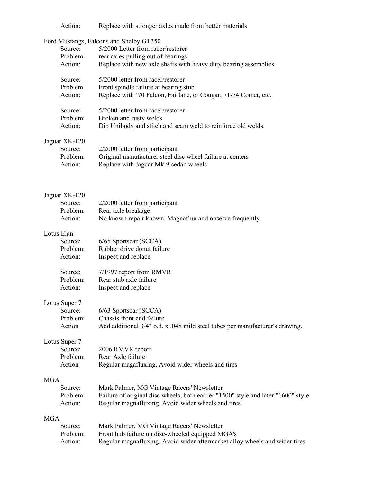|            | Action:                                         | Replace with stronger axles made from better materials                                                                                                                                |
|------------|-------------------------------------------------|---------------------------------------------------------------------------------------------------------------------------------------------------------------------------------------|
|            | Source:<br>Problem:<br>Action:                  | Ford Mustangs, Falcons and Shelby GT350<br>5/2000 Letter from racer/restorer<br>rear axles pulling out of bearings<br>Replace with new axle shafts with heavy duty bearing assemblies |
|            | Source:<br>Problem<br>Action:                   | 5/2000 letter from racer/restorer<br>Front spindle failure at bearing stub<br>Replace with '70 Falcon, Fairlane, or Cougar; 71-74 Comet, etc.                                         |
|            | Source:<br>Problem:<br>Action:                  | 5/2000 letter from racer/restorer<br>Broken and rusty welds<br>Dip Unibody and stitch and seam weld to reinforce old welds.                                                           |
|            | Jaguar XK-120<br>Source:<br>Problem:<br>Action: | 2/2000 letter from participant<br>Original manufacturer steel disc wheel failure at centers<br>Replace with Jaguar Mk-9 sedan wheels                                                  |
|            | Jaguar XK-120<br>Source:<br>Problem:<br>Action: | 2/2000 letter from participant<br>Rear axle breakage<br>No known repair known. Magnaflux and observe frequently.                                                                      |
|            | Lotus Elan<br>Source:<br>Problem:<br>Action:    | 6/65 Sportscar (SCCA)<br>Rubber drive donut failure<br>Inspect and replace                                                                                                            |
|            | Source:<br>Problem:<br>Action:                  | 7/1997 report from RMVR<br>Rear stub axle failure<br>Inspect and replace                                                                                                              |
|            | Lotus Super 7<br>Source:<br>Problem:<br>Action  | 6/63 Sportscar (SCCA)<br>Chassis front end failure<br>Add additional 3/4" o.d. x .048 mild steel tubes per manufacturer's drawing.                                                    |
|            | Lotus Super 7<br>Source:<br>Problem:<br>Action  | 2006 RMVR report<br>Rear Axle failure<br>Regular magafluxing. Avoid wider wheels and tires                                                                                            |
| <b>MGA</b> | Source:<br>Problem:<br>Action:                  | Mark Palmer, MG Vintage Racers' Newsletter<br>Failure of original disc wheels, both earlier "1500" style and later "1600" style<br>Regular magnafluxing. Avoid wider wheels and tires |
| <b>MGA</b> |                                                 |                                                                                                                                                                                       |
|            | Source:<br>Problem:<br>Action:                  | Mark Palmer, MG Vintage Racers' Newsletter<br>Front hub failure on disc-wheeled equipped MGA's<br>Regular magnafluxing. Avoid wider aftermarket alloy wheels and wider tires          |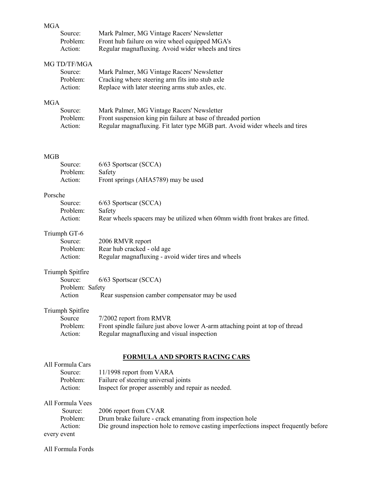# MGA<sub>S</sub>

| Source:  | Mark Palmer, MG Vintage Racers' Newsletter         |
|----------|----------------------------------------------------|
| Problem: | Front hub failure on wire wheel equipped MGA's     |
| Action:  | Regular magnafluxing. Avoid wider wheels and tires |

### MG TD/TF/MGA

| Source:  | Mark Palmer, MG Vintage Racers' Newsletter        |
|----------|---------------------------------------------------|
| Problem: | Cracking where steering arm fits into stub axle   |
| Action:  | Replace with later steering arms stub axles, etc. |

#### MGA

| Source:  | Mark Palmer, MG Vintage Racers' Newsletter                                  |
|----------|-----------------------------------------------------------------------------|
| Problem: | Front suspension king pin failure at base of threaded portion               |
| Action:  | Regular magnafluxing. Fit later type MGB part. Avoid wider wheels and tires |

#### MGB

| Source:  | $6/63$ Sportscar (SCCA)             |
|----------|-------------------------------------|
| Problem: | Safety                              |
| Action:  | Front springs (AHA5789) may be used |

# Porsche

| $\sim$   |                                                                              |
|----------|------------------------------------------------------------------------------|
| Source:  | $6/63$ Sportscar (SCCA)                                                      |
| Problem: | Safety                                                                       |
| Action:  | Rear wheels spacers may be utilized when 60mm width front brakes are fitted. |

### Triumph GT-6

| Source:  | 2006 RMVR report                                    |
|----------|-----------------------------------------------------|
| Problem: | Rear hub cracked - old age                          |
| Action:  | Regular magnafluxing - avoid wider tires and wheels |

## Triumph Spitfire

|                 | Source: 6/63 Sportscar (SCCA)                  |
|-----------------|------------------------------------------------|
| Problem: Safety |                                                |
| Action          | Rear suspension camber compensator may be used |

# Triumph Spitfire

| Source   | 7/2002 report from RMVR                                                       |
|----------|-------------------------------------------------------------------------------|
| Problem: | Front spindle failure just above lower A-arm attaching point at top of thread |
| Action:  | Regular magnafluxing and visual inspection                                    |

#### **FORMULA AND SPORTS RACING CARS**

| FUNNIULA AND SFUNTS NACING CANS |                                                                                      |  |  |
|---------------------------------|--------------------------------------------------------------------------------------|--|--|
| All Formula Cars                |                                                                                      |  |  |
| Source:                         | 11/1998 report from VARA                                                             |  |  |
| Problem:                        | Failure of steering universal joints                                                 |  |  |
| Action:                         | Inspect for proper assembly and repair as needed.                                    |  |  |
| All Formula Vees                |                                                                                      |  |  |
| Source:                         | 2006 report from CVAR                                                                |  |  |
| Problem:                        | Drum brake failure - crack emanating from inspection hole                            |  |  |
| Action:                         | Die ground inspection hole to remove casting imperfections inspect frequently before |  |  |
| every event                     |                                                                                      |  |  |

All Formula Fords